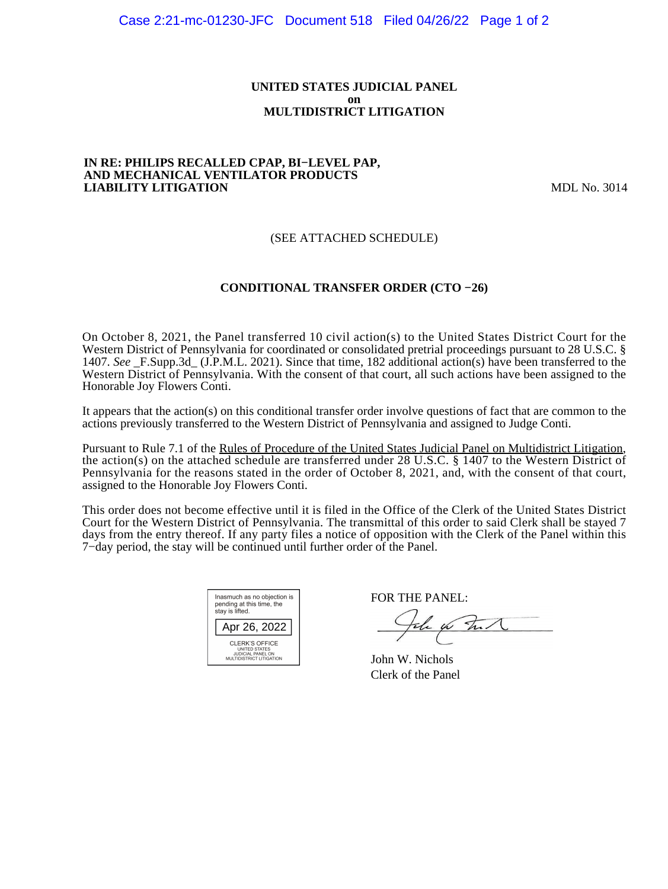#### **UNITED STATES JUDICIAL PANEL on MULTIDISTRICT LITIGATION**

#### **IN RE: PHILIPS RECALLED CPAP, BI−LEVEL PAP, AND MECHANICAL VENTILATOR PRODUCTS LIABILITY LITIGATION** MDL No. 3014

# (SEE ATTACHED SCHEDULE)

# **CONDITIONAL TRANSFER ORDER (CTO −26)**

On October 8, 2021, the Panel transferred 10 civil action(s) to the United States District Court for the Western District of Pennsylvania for coordinated or consolidated pretrial proceedings pursuant to 28 U.S.C. § 1407. *See* \_F.Supp.3d\_ (J.P.M.L. 2021). Since that time, 182 additional action(s) have been transferred to the Western District of Pennsylvania. With the consent of that court, all such actions have been assigned to the Honorable Joy Flowers Conti.

It appears that the action(s) on this conditional transfer order involve questions of fact that are common to the actions previously transferred to the Western District of Pennsylvania and assigned to Judge Conti.

Pursuant to Rule 7.1 of the Rules of Procedure of the United States Judicial Panel on Multidistrict Litigation, the action(s) on the attached schedule are transferred under 28 U.S.C. § 1407 to the Western District of Pennsylvania for the reasons stated in the order of October 8, 2021, and, with the consent of that court, assigned to the Honorable Joy Flowers Conti.

This order does not become effective until it is filed in the Office of the Clerk of the United States District Court for the Western District of Pennsylvania. The transmittal of this order to said Clerk shall be stayed 7 days from the entry thereof. If any party files a notice of opposition with the Clerk of the Panel within this 7−day period, the stay will be continued until further order of the Panel.

| Inasmuch as no objection is<br>pending at this time, the<br>stay is lifted.      |
|----------------------------------------------------------------------------------|
| Apr 26, 2022                                                                     |
| CLERK'S OFFICE<br>UNITED STATES<br>JUDICIAL PANEL ON<br>MULTIDISTRICT LITIGATION |

FOR THE PANEL:

the for that

John W. Nichols Clerk of the Panel